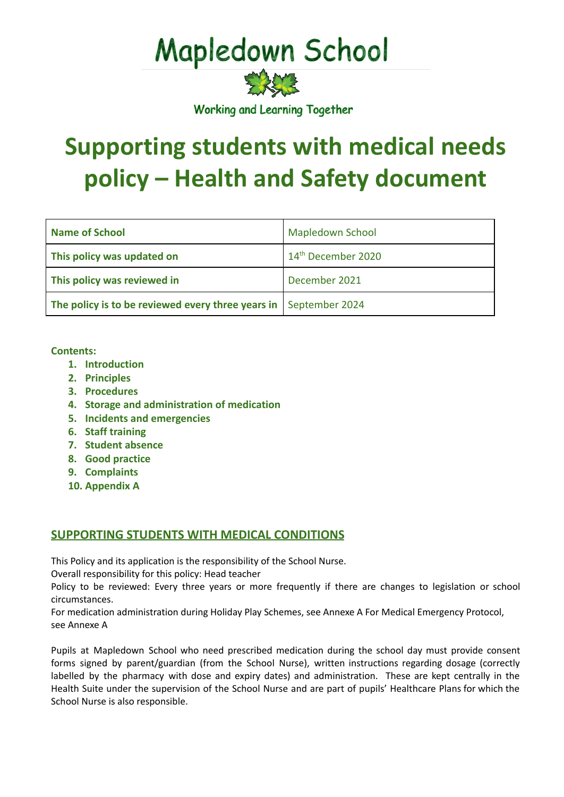# **Mapledown School**

实验室

Working and Learning Together

# **Supporting students with medical needs policy – Health and Safety document**

| Name of School                                                   | <b>Mapledown School</b>        |
|------------------------------------------------------------------|--------------------------------|
| This policy was updated on                                       | 14 <sup>th</sup> December 2020 |
| This policy was reviewed in                                      | December 2021                  |
| The policy is to be reviewed every three years in September 2024 |                                |

#### **Contents:**

- **1. Introduction**
- **2. Principles**
- **3. Procedures**
- **4. Storage and administration of medication**
- **5. Incidents and emergencies**
- **6. Staff training**
- **7. Student absence**
- **8. Good practice**
- **9. Complaints**
- **10. Appendix A**

#### **SUPPORTING STUDENTS WITH MEDICAL CONDITIONS**

This Policy and its application is the responsibility of the School Nurse.

Overall responsibility for this policy: Head teacher

Policy to be reviewed: Every three years or more frequently if there are changes to legislation or school circumstances.

For medication administration during Holiday Play Schemes, see Annexe A For Medical Emergency Protocol, see Annexe A

Pupils at Mapledown School who need prescribed medication during the school day must provide consent forms signed by parent/guardian (from the School Nurse), written instructions regarding dosage (correctly labelled by the pharmacy with dose and expiry dates) and administration. These are kept centrally in the Health Suite under the supervision of the School Nurse and are part of pupils' Healthcare Plans for which the School Nurse is also responsible.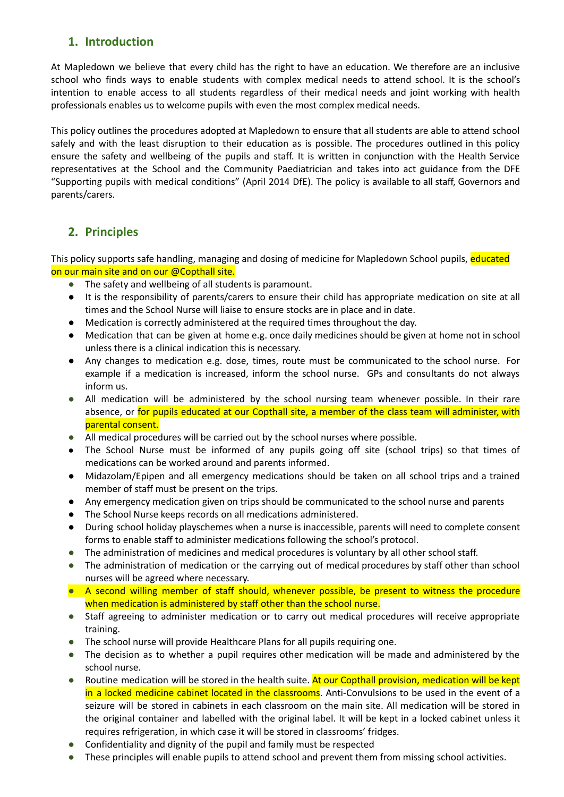# **1. Introduction**

At Mapledown we believe that every child has the right to have an education. We therefore are an inclusive school who finds ways to enable students with complex medical needs to attend school. It is the school's intention to enable access to all students regardless of their medical needs and joint working with health professionals enables us to welcome pupils with even the most complex medical needs.

This policy outlines the procedures adopted at Mapledown to ensure that all students are able to attend school safely and with the least disruption to their education as is possible. The procedures outlined in this policy ensure the safety and wellbeing of the pupils and staff. It is written in conjunction with the Health Service representatives at the School and the Community Paediatrician and takes into act guidance from the DFE "Supporting pupils with medical conditions" (April 2014 DfE). The policy is available to all staff, Governors and parents/carers.

# **2. Principles**

This policy supports safe handling, managing and dosing of medicine for Mapledown School pupils, educated on our main site and on our @Copthall site.

- **●** The safety and wellbeing of all students is paramount.
- It is the responsibility of parents/carers to ensure their child has appropriate medication on site at all times and the School Nurse will liaise to ensure stocks are in place and in date.
- Medication is correctly administered at the required times throughout the day.
- Medication that can be given at home e.g. once daily medicines should be given at home not in school unless there is a clinical indication this is necessary.
- Any changes to medication e.g. dose, times, route must be communicated to the school nurse. For example if a medication is increased, inform the school nurse. GPs and consultants do not always inform us.
- **●** All medication will be administered by the school nursing team whenever possible. In their rare absence, or for pupils educated at our Copthall site, a member of the class team will administer, with parental consent.
- **●** All medical procedures will be carried out by the school nurses where possible.
- The School Nurse must be informed of any pupils going off site (school trips) so that times of medications can be worked around and parents informed.
- Midazolam/Epipen and all emergency medications should be taken on all school trips and a trained member of staff must be present on the trips.
- Any emergency medication given on trips should be communicated to the school nurse and parents
- The School Nurse keeps records on all medications administered.
- During school holiday playschemes when a nurse is inaccessible, parents will need to complete consent forms to enable staff to administer medications following the school's protocol.
- **●** The administration of medicines and medical procedures is voluntary by all other school staff.
- **●** The administration of medication or the carrying out of medical procedures by staff other than school nurses will be agreed where necessary.
- **●** A second willing member of staff should, whenever possible, be present to witness the procedure when medication is administered by staff other than the school nurse.
- **●** Staff agreeing to administer medication or to carry out medical procedures will receive appropriate training.
- **●** The school nurse will provide Healthcare Plans for all pupils requiring one.
- **●** The decision as to whether a pupil requires other medication will be made and administered by the school nurse.
- Routine medication will be stored in the health suite. At our Copthall provision, medication will be kept in a locked medicine cabinet located in the classrooms. Anti-Convulsions to be used in the event of a seizure will be stored in cabinets in each classroom on the main site. All medication will be stored in the original container and labelled with the original label. It will be kept in a locked cabinet unless it requires refrigeration, in which case it will be stored in classrooms' fridges.
- **●** Confidentiality and dignity of the pupil and family must be respected
- These principles will enable pupils to attend school and prevent them from missing school activities.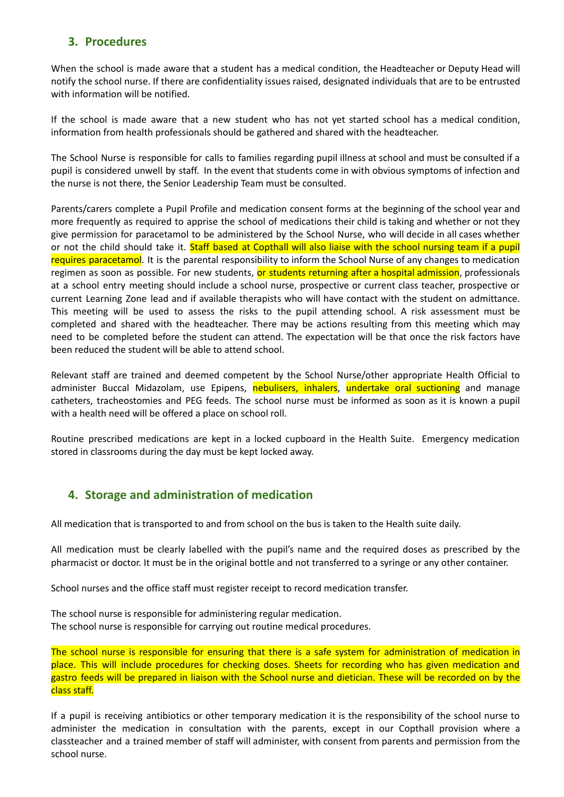### **3. Procedures**

When the school is made aware that a student has a medical condition, the Headteacher or Deputy Head will notify the school nurse. If there are confidentiality issues raised, designated individuals that are to be entrusted with information will be notified.

If the school is made aware that a new student who has not yet started school has a medical condition, information from health professionals should be gathered and shared with the headteacher.

The School Nurse is responsible for calls to families regarding pupil illness at school and must be consulted if a pupil is considered unwell by staff. In the event that students come in with obvious symptoms of infection and the nurse is not there, the Senior Leadership Team must be consulted.

Parents/carers complete a Pupil Profile and medication consent forms at the beginning of the school year and more frequently as required to apprise the school of medications their child is taking and whether or not they give permission for paracetamol to be administered by the School Nurse, who will decide in all cases whether or not the child should take it. Staff based at Copthall will also liaise with the school nursing team if a pupil requires paracetamol. It is the parental responsibility to inform the School Nurse of any changes to medication regimen as soon as possible. For new students, or students returning after a hospital admission, professionals at a school entry meeting should include a school nurse, prospective or current class teacher, prospective or current Learning Zone lead and if available therapists who will have contact with the student on admittance. This meeting will be used to assess the risks to the pupil attending school. A risk assessment must be completed and shared with the headteacher. There may be actions resulting from this meeting which may need to be completed before the student can attend. The expectation will be that once the risk factors have been reduced the student will be able to attend school.

Relevant staff are trained and deemed competent by the School Nurse/other appropriate Health Official to administer Buccal Midazolam, use Epipens, nebulisers, inhalers, undertake oral suctioning and manage catheters, tracheostomies and PEG feeds. The school nurse must be informed as soon as it is known a pupil with a health need will be offered a place on school roll.

Routine prescribed medications are kept in a locked cupboard in the Health Suite. Emergency medication stored in classrooms during the day must be kept locked away.

## **4. Storage and administration of medication**

All medication that is transported to and from school on the bus is taken to the Health suite daily.

All medication must be clearly labelled with the pupil's name and the required doses as prescribed by the pharmacist or doctor. It must be in the original bottle and not transferred to a syringe or any other container.

School nurses and the office staff must register receipt to record medication transfer.

The school nurse is responsible for administering regular medication. The school nurse is responsible for carrying out routine medical procedures.

The school nurse is responsible for ensuring that there is a safe system for administration of medication in place. This will include procedures for checking doses. Sheets for recording who has given medication and gastro feeds will be prepared in liaison with the School nurse and dietician. These will be recorded on by the class staff.

If a pupil is receiving antibiotics or other temporary medication it is the responsibility of the school nurse to administer the medication in consultation with the parents, except in our Copthall provision where a classteacher and a trained member of staff will administer, with consent from parents and permission from the school nurse.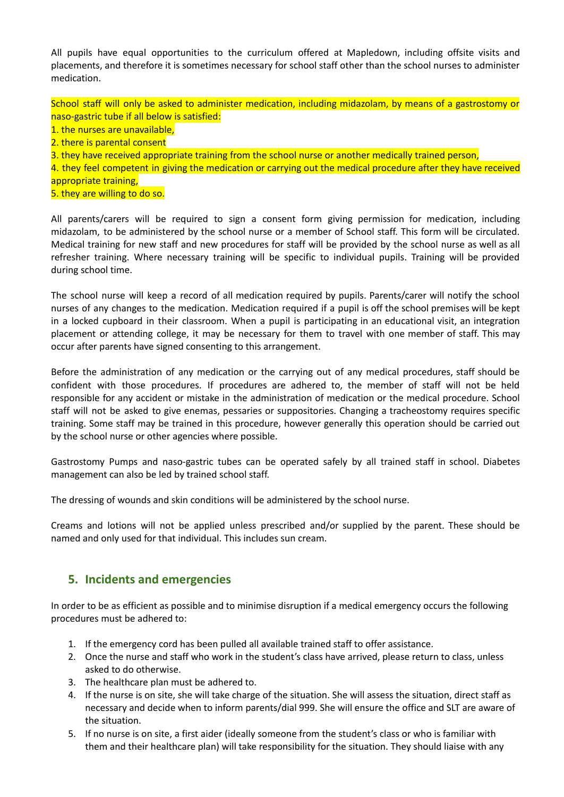All pupils have equal opportunities to the curriculum offered at Mapledown, including offsite visits and placements, and therefore it is sometimes necessary for school staff other than the school nurses to administer medication.

School staff will only be asked to administer medication, including midazolam, by means of a gastrostomy or naso-gastric tube if all below is satisfied:

- 1. the nurses are unavailable,
- 2. there is parental consent
- 3. they have received appropriate training from the school nurse or another medically trained person,

4. they feel competent in giving the medication or carrying out the medical procedure after they have received appropriate training,

5. they are willing to do so.

All parents/carers will be required to sign a consent form giving permission for medication, including midazolam, to be administered by the school nurse or a member of School staff. This form will be circulated. Medical training for new staff and new procedures for staff will be provided by the school nurse as well as all refresher training. Where necessary training will be specific to individual pupils. Training will be provided during school time.

The school nurse will keep a record of all medication required by pupils. Parents/carer will notify the school nurses of any changes to the medication. Medication required if a pupil is off the school premises will be kept in a locked cupboard in their classroom. When a pupil is participating in an educational visit, an integration placement or attending college, it may be necessary for them to travel with one member of staff. This may occur after parents have signed consenting to this arrangement.

Before the administration of any medication or the carrying out of any medical procedures, staff should be confident with those procedures. If procedures are adhered to, the member of staff will not be held responsible for any accident or mistake in the administration of medication or the medical procedure. School staff will not be asked to give enemas, pessaries or suppositories. Changing a tracheostomy requires specific training. Some staff may be trained in this procedure, however generally this operation should be carried out by the school nurse or other agencies where possible.

Gastrostomy Pumps and naso-gastric tubes can be operated safely by all trained staff in school. Diabetes management can also be led by trained school staff.

The dressing of wounds and skin conditions will be administered by the school nurse.

Creams and lotions will not be applied unless prescribed and/or supplied by the parent. These should be named and only used for that individual. This includes sun cream.

#### **5. Incidents and emergencies**

In order to be as efficient as possible and to minimise disruption if a medical emergency occurs the following procedures must be adhered to:

- 1. If the emergency cord has been pulled all available trained staff to offer assistance.
- 2. Once the nurse and staff who work in the student's class have arrived, please return to class, unless asked to do otherwise.
- 3. The healthcare plan must be adhered to.
- 4. If the nurse is on site, she will take charge of the situation. She will assess the situation, direct staff as necessary and decide when to inform parents/dial 999. She will ensure the office and SLT are aware of the situation.
- 5. If no nurse is on site, a first aider (ideally someone from the student's class or who is familiar with them and their healthcare plan) will take responsibility for the situation. They should liaise with any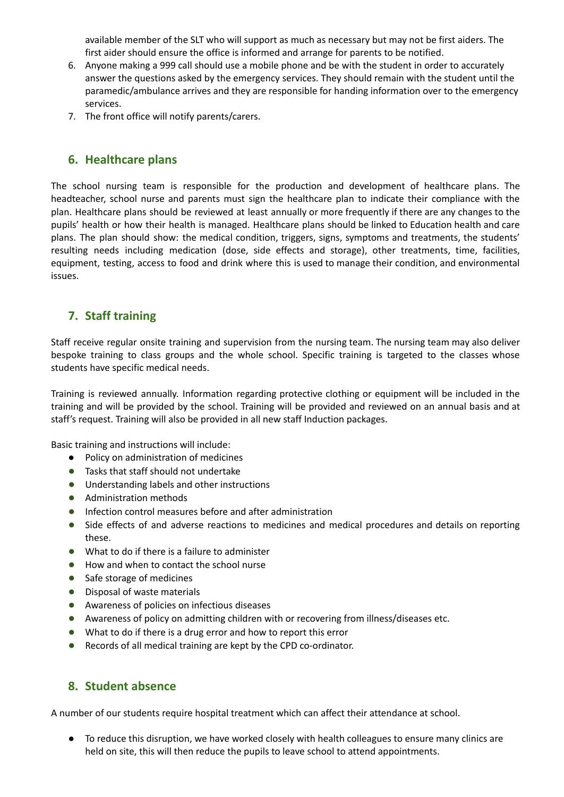available member of the SLT who will support as much as necessary but may not be first aiders. The first aider should ensure the office is informed and arrange for parents to be notified.

- 6. Anyone making a 999 call should use a mobile phone and be with the student in order to accurately answer the questions asked by the emergency services. They should remain with the student until the paramedic/ambulance arrives and they are responsible for handing information over to the emergency services.
- 7. The front office will notify parents/carers.

#### **6. Healthcare plans**

The school nursing team is responsible for the production and development of healthcare plans. The headteacher, school nurse and parents must sign the healthcare plan to indicate their compliance with the plan. Healthcare plans should be reviewed at least annually or more frequently if there are any changes to the pupils' health or how their health is managed. Healthcare plans should be linked to Education health and care plans. The plan should show: the medical condition, triggers, signs, symptoms and treatments, the students' resulting needs including medication (dose, side effects and storage), other treatments, time, facilities, equipment, testing, access to food and drink where this is used to manage their condition, and environmental issues.

#### **7. Staff training**

Staff receive regular onsite training and supervision from the nursing team. The nursing team may also deliver bespoke training to class groups and the whole school. Specific training is targeted to the classes whose students have specific medical needs.

Training is reviewed annually. Information regarding protective clothing or equipment will be included in the training and will be provided by the school. Training will be provided and reviewed on an annual basis and at staff's request. Training will also be provided in all new staff Induction packages.

Basic training and instructions will include:

- Policy on administration of medicines
- **●** Tasks that staff should not undertake
- **●** Understanding labels and other instructions
- **●** Administration methods
- **●** Infection control measures before and after administration
- **●** Side effects of and adverse reactions to medicines and medical procedures and details on reporting these.
- **●** What to do if there is a failure to administer
- **●** How and when to contact the school nurse
- **●** Safe storage of medicines
- **●** Disposal of waste materials
- **●** Awareness of policies on infectious diseases
- **●** Awareness of policy on admitting children with or recovering from illness/diseases etc.
- **●** What to do if there is a drug error and how to report this error
- **●** Records of all medical training are kept by the CPD co-ordinator.

#### **8. Student absence**

A number of our students require hospital treatment which can affect their attendance at school.

● To reduce this disruption, we have worked closely with health colleagues to ensure many clinics are held on site, this will then reduce the pupils to leave school to attend appointments.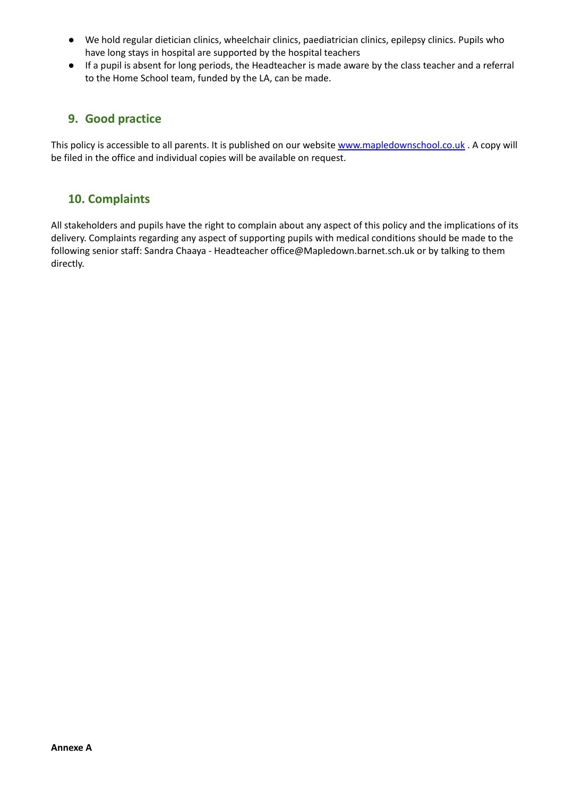- We hold regular dietician clinics, wheelchair clinics, paediatrician clinics, epilepsy clinics. Pupils who have long stays in hospital are supported by the hospital teachers
- If a pupil is absent for long periods, the Headteacher is made aware by the class teacher and a referral to the Home School team, funded by the LA, can be made.

#### **9. Good practice**

This policy is accessible to all parents. It is published on our website [www.mapledownschool.co.uk](http://www.mapledownschool.co.uk) . A copy will be filed in the office and individual copies will be available on request.

#### **10. Complaints**

All stakeholders and pupils have the right to complain about any aspect of this policy and the implications of its delivery. Complaints regarding any aspect of supporting pupils with medical conditions should be made to the following senior staff: Sandra Chaaya - Headteacher office@Mapledown.barnet.sch.uk or by talking to them directly.